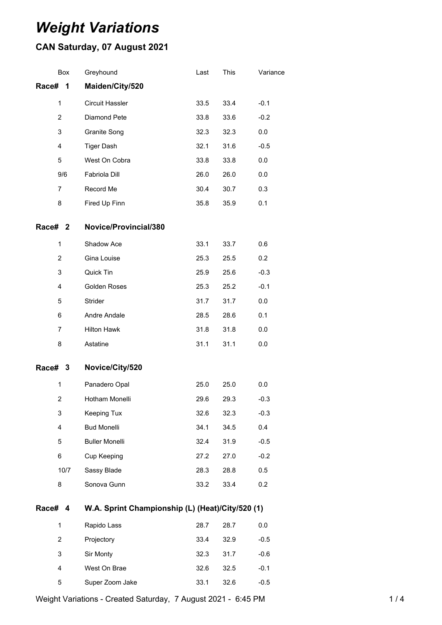# *Weight Variations*

## **CAN Saturday, 07 August 2021**

|                | Box  | Greyhound                                        | Last | This | Variance |
|----------------|------|--------------------------------------------------|------|------|----------|
| Race#          | 1    | Maiden/City/520                                  |      |      |          |
| $\mathbf{1}$   |      | <b>Circuit Hassler</b>                           | 33.5 | 33.4 | $-0.1$   |
| 2              |      | Diamond Pete                                     | 33.8 | 33.6 | $-0.2$   |
| 3              |      | Granite Song                                     | 32.3 | 32.3 | 0.0      |
| 4              |      | <b>Tiger Dash</b>                                | 32.1 | 31.6 | $-0.5$   |
| 5              |      | West On Cobra                                    | 33.8 | 33.8 | 0.0      |
|                | 9/6  | Fabriola Dill                                    | 26.0 | 26.0 | 0.0      |
| 7              |      | Record Me                                        | 30.4 | 30.7 | 0.3      |
| 8              |      | Fired Up Finn                                    | 35.8 | 35.9 | 0.1      |
| Race# 2        |      | Novice/Provincial/380                            |      |      |          |
| 1              |      | Shadow Ace                                       | 33.1 | 33.7 | 0.6      |
| 2              |      | Gina Louise                                      | 25.3 | 25.5 | 0.2      |
| 3              |      | Quick Tin                                        | 25.9 | 25.6 | $-0.3$   |
| 4              |      | Golden Roses                                     | 25.3 | 25.2 | $-0.1$   |
| 5              |      | Strider                                          | 31.7 | 31.7 | 0.0      |
| 6              |      | Andre Andale                                     | 28.5 | 28.6 | 0.1      |
| $\overline{7}$ |      | <b>Hilton Hawk</b>                               | 31.8 | 31.8 | 0.0      |
| 8              |      | Astatine                                         | 31.1 | 31.1 | 0.0      |
| Race# 3        |      | Novice/City/520                                  |      |      |          |
| 1              |      | Panadero Opal                                    | 25.0 | 25.0 | $0.0\,$  |
| $\overline{2}$ |      | Hotham Monelli                                   | 29.6 | 29.3 | $-0.3$   |
| 3              |      | Keeping Tux                                      | 32.6 | 32.3 | $-0.3$   |
| 4              |      | <b>Bud Monelli</b>                               | 34.1 | 34.5 | 0.4      |
| 5              |      | <b>Buller Monelli</b>                            | 32.4 | 31.9 | $-0.5$   |
| 6              |      | Cup Keeping                                      | 27.2 | 27.0 | $-0.2$   |
|                | 10/7 | Sassy Blade                                      | 28.3 | 28.8 | 0.5      |
| 8              |      | Sonova Gunn                                      | 33.2 | 33.4 | 0.2      |
| Race# 4        |      | W.A. Sprint Championship (L) (Heat)/City/520 (1) |      |      |          |
| $\mathbf{1}$   |      | Rapido Lass                                      | 28.7 | 28.7 | 0.0      |
| $\overline{2}$ |      | Projectory                                       | 33.4 | 32.9 | $-0.5$   |
| 3              |      | Sir Monty                                        | 32.3 | 31.7 | $-0.6$   |
| 4              |      | West On Brae                                     | 32.6 | 32.5 | $-0.1$   |

Weight Variations - Created Saturday, 7 August 2021 - 6:45 PM 14

Super Zoom Jake 33.1 32.6 -0.5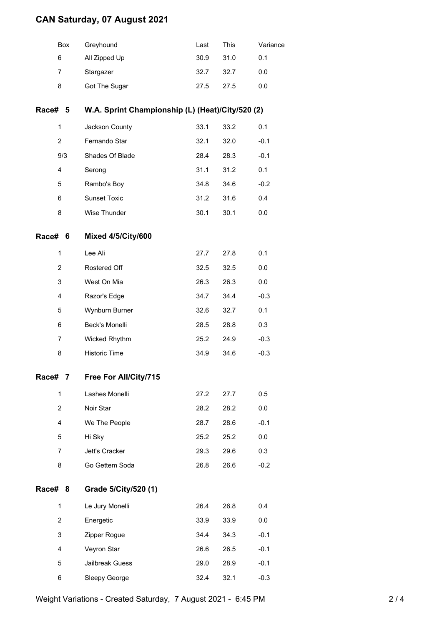## **CAN Saturday, 07 August 2021**

|                | Box | Greyhound                                        | Last | This | Variance |  |  |
|----------------|-----|--------------------------------------------------|------|------|----------|--|--|
| 6              |     | All Zipped Up                                    | 30.9 | 31.0 | 0.1      |  |  |
| $\overline{7}$ |     | Stargazer                                        | 32.7 | 32.7 | 0.0      |  |  |
| 8              |     | Got The Sugar                                    | 27.5 | 27.5 | 0.0      |  |  |
| Race# 5        |     | W.A. Sprint Championship (L) (Heat)/City/520 (2) |      |      |          |  |  |
| 1              |     | Jackson County                                   | 33.1 | 33.2 | 0.1      |  |  |
| $\overline{2}$ |     | Fernando Star                                    | 32.1 | 32.0 | $-0.1$   |  |  |
|                | 9/3 | Shades Of Blade                                  | 28.4 | 28.3 | $-0.1$   |  |  |
| 4              |     | Serong                                           | 31.1 | 31.2 | 0.1      |  |  |
| 5              |     | Rambo's Boy                                      | 34.8 | 34.6 | $-0.2$   |  |  |
| 6              |     | <b>Sunset Toxic</b>                              | 31.2 | 31.6 | 0.4      |  |  |
| 8              |     | Wise Thunder                                     | 30.1 | 30.1 | 0.0      |  |  |
| Race#          | 6   | Mixed 4/5/City/600                               |      |      |          |  |  |
| 1              |     | Lee Ali                                          | 27.7 | 27.8 | 0.1      |  |  |
| $\overline{2}$ |     | Rostered Off                                     | 32.5 | 32.5 | 0.0      |  |  |
| 3              |     | West On Mia                                      | 26.3 | 26.3 | 0.0      |  |  |
| 4              |     | Razor's Edge                                     | 34.7 | 34.4 | $-0.3$   |  |  |
| 5              |     | Wynburn Burner                                   | 32.6 | 32.7 | 0.1      |  |  |
| 6              |     | <b>Beck's Monelli</b>                            | 28.5 | 28.8 | 0.3      |  |  |
| 7              |     | Wicked Rhythm                                    | 25.2 | 24.9 | $-0.3$   |  |  |
| 8              |     | <b>Historic Time</b>                             | 34.9 | 34.6 | $-0.3$   |  |  |
| Race#          | 7   | Free For All/City/715                            |      |      |          |  |  |
| 1              |     | Lashes Monelli                                   | 27.2 | 27.7 | 0.5      |  |  |
| $\overline{2}$ |     | Noir Star                                        | 28.2 | 28.2 | 0.0      |  |  |
| 4              |     | We The People                                    | 28.7 | 28.6 | $-0.1$   |  |  |
| 5              |     | Hi Sky                                           | 25.2 | 25.2 | 0.0      |  |  |
| 7              |     | Jett's Cracker                                   | 29.3 | 29.6 | 0.3      |  |  |
| 8              |     | Go Gettem Soda                                   | 26.8 | 26.6 | $-0.2$   |  |  |
| Race#          | 8   | Grade 5/City/520 (1)                             |      |      |          |  |  |
| 1              |     | Le Jury Monelli                                  | 26.4 | 26.8 | 0.4      |  |  |
| $\overline{2}$ |     | Energetic                                        | 33.9 | 33.9 | 0.0      |  |  |
| 3              |     | Zipper Rogue                                     | 34.4 | 34.3 | $-0.1$   |  |  |
| 4              |     | Veyron Star                                      | 26.6 | 26.5 | $-0.1$   |  |  |
| 5              |     | Jailbreak Guess                                  | 29.0 | 28.9 | $-0.1$   |  |  |

6 Sleepy George 32.4 32.1 -0.3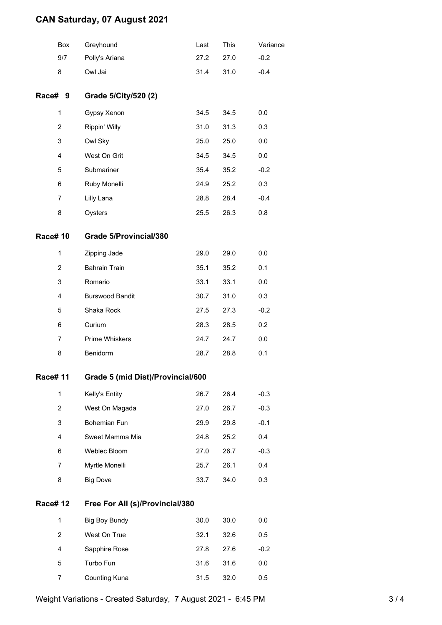## **CAN Saturday, 07 August 2021**

|                 | Box            | Greyhound                         | Last | This | Variance |  |
|-----------------|----------------|-----------------------------------|------|------|----------|--|
|                 | 9/7            | Polly's Ariana                    | 27.2 | 27.0 | $-0.2$   |  |
|                 | 8              | Owl Jai                           | 31.4 | 31.0 | $-0.4$   |  |
| Race# 9         |                | Grade 5/City/520 (2)              |      |      |          |  |
|                 | $\mathbf{1}$   | Gypsy Xenon                       | 34.5 | 34.5 | 0.0      |  |
|                 | $\overline{2}$ | Rippin' Willy                     | 31.0 | 31.3 | 0.3      |  |
|                 | 3              | Owl Sky                           | 25.0 | 25.0 | 0.0      |  |
|                 | 4              | West On Grit                      | 34.5 | 34.5 | 0.0      |  |
|                 | 5              | Submariner                        | 35.4 | 35.2 | $-0.2$   |  |
|                 | 6              | Ruby Monelli                      | 24.9 | 25.2 | 0.3      |  |
|                 | 7              | Lilly Lana                        | 28.8 | 28.4 | $-0.4$   |  |
|                 | 8              | Oysters                           | 25.5 | 26.3 | 0.8      |  |
| <b>Race#10</b>  |                | Grade 5/Provincial/380            |      |      |          |  |
|                 | 1              | Zipping Jade                      | 29.0 | 29.0 | 0.0      |  |
|                 | 2              | <b>Bahrain Train</b>              | 35.1 | 35.2 | 0.1      |  |
|                 | 3              | Romario                           | 33.1 | 33.1 | 0.0      |  |
|                 | 4              | <b>Burswood Bandit</b>            | 30.7 | 31.0 | 0.3      |  |
|                 | 5              | Shaka Rock                        | 27.5 | 27.3 | $-0.2$   |  |
|                 | 6              | Curium                            | 28.3 | 28.5 | 0.2      |  |
|                 | 7              | Prime Whiskers                    | 24.7 | 24.7 | 0.0      |  |
|                 | 8              | Benidorm                          | 28.7 | 28.8 | 0.1      |  |
| Race# 11        |                | Grade 5 (mid Dist)/Provincial/600 |      |      |          |  |
|                 | $\mathbf{1}$   | Kelly's Entity                    | 26.7 | 26.4 | $-0.3$   |  |
|                 | $\overline{2}$ | West On Magada                    | 27.0 | 26.7 | $-0.3$   |  |
|                 | 3              | Bohemian Fun                      | 29.9 | 29.8 | $-0.1$   |  |
|                 | 4              | Sweet Mamma Mia                   | 24.8 | 25.2 | 0.4      |  |
|                 | 6              | Weblec Bloom                      | 27.0 | 26.7 | $-0.3$   |  |
|                 | 7              | Myrtle Monelli                    | 25.7 | 26.1 | 0.4      |  |
|                 | 8              | <b>Big Dove</b>                   | 33.7 | 34.0 | 0.3      |  |
| <b>Race# 12</b> |                | Free For All (s)/Provincial/380   |      |      |          |  |
|                 | 1              | <b>Big Boy Bundy</b>              | 30.0 | 30.0 | 0.0      |  |
|                 | $\overline{2}$ | West On True                      | 32.1 | 32.6 | 0.5      |  |
|                 | 4              | Sapphire Rose                     | 27.8 | 27.6 | $-0.2$   |  |
|                 | 5              | Turbo Fun                         | 31.6 | 31.6 | 0.0      |  |
|                 | 7              | Counting Kuna                     | 31.5 | 32.0 | 0.5      |  |